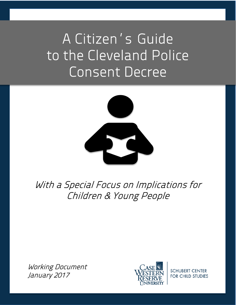# A Citizen's Guide to the Cleveland Police Consent Decree



With a Special Focus on Implications for Children & Young People

Working Document January 2017



**SCHUBERT CENTER FOR CHILD STUDIES**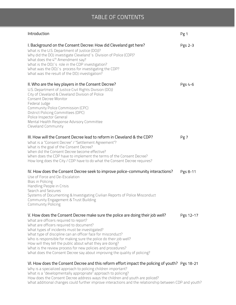### TABLE OF CONTENTS

| Introduction                                                                                                                                                                                                                                                                                                                                                                                                                                                                                                                                                  | Pg 1      |
|---------------------------------------------------------------------------------------------------------------------------------------------------------------------------------------------------------------------------------------------------------------------------------------------------------------------------------------------------------------------------------------------------------------------------------------------------------------------------------------------------------------------------------------------------------------|-----------|
| I. Background on the Consent Decree: How did Cleveland get here?<br>What is the U.S. Department of Justice (DOJ)?<br>Why did the DOJ investigate Cleveland's Division of Police (CDP)?<br>What does the 4 <sup>th</sup> Amendment say?<br>What is the DOJ's role in the CDP investigation?<br>What was the DOJ's process for investigating the CDP?<br>What was the result of the DOJ investigation?                                                                                                                                                          | Pgs 2-3   |
| II. Who are the key players in the Consent Decree?<br>U.S. Department of Justice Civil Rights Division (DOJ)<br>City of Cleveland & Cleveland Division of Police<br><b>Consent Decree Monitor</b><br>Federal Judge<br>Community Police Commission (CPC)<br>District Policing Committees (DPC)<br>Police Inspector General<br>Mental Health Response Advisory Committee<br>Cleveland Community                                                                                                                                                                 | Pgs 4-6   |
| III. How will the Consent Decree lead to reform in Cleveland & the CDP?<br>What is a "Consent Decree" / "Settlement Agreement"?<br>What is the goal of the Consent Decree?<br>When did the Consent Decree become effective?<br>When does the CDP have to implement the terms of the Consent Decree?<br>How long does the City / CDP have to do what the Consent Decree requires?                                                                                                                                                                              | Pg 7      |
| IV. How does the Consent Decree seek to improve police-community interactions?<br>Use of Force and De-Escalation<br>Bias in Policing<br>Handling People in Crisis<br>Search and Seizures<br>Systems of Documenting & Investigating Civilian Reports of Police Misconduct<br>Community Engagement & Trust Building<br><b>Community Policing</b>                                                                                                                                                                                                                | Pgs 8-11  |
| V. How does the Consent Decree make sure the police are doing their job well?<br>What are officers required to report?<br>What are officers required to document?<br>What types of incidents must be investigated?<br>What type of discipline can an officer face for misconduct?<br>Who is responsible for making sure the police do their job well?<br>How will they tell the public about what they are doing?<br>What is the review process for new policies and procedures?<br>What does the Consent Decree say about improving the quality of policing? | Pgs 12-17 |
| VI. How does the Consent Decree and this reform effort impact the policing of youth? Pgs 18-21<br>Why is a specialized approach to policing children important?                                                                                                                                                                                                                                                                                                                                                                                               |           |

What is a "developmentally appropriate" approach to policing? How does the Consent Decree address ways the children and youth are policed? What additional changes could further improve interactions and the relationship between CDP and youth?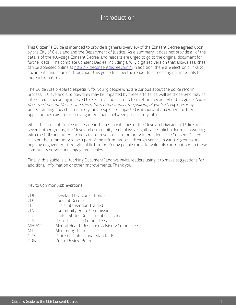## Introduction

<span id="page-2-0"></span>This Citizen's Guide is intended to provide a general overview of the Consent Decree agreed upon by the City of Cleveland and the Department of Justice. As a summary, it does not provide all of the details of the 105-page Consent Decree, and readers are urged to go to the original document for further detail. The complete Consent Decree, including a fully digitized version that allows searches, can be accessed online at [http://cleconsentde](http://cleconsentdecree.com/)cree.com/. In addition, there are electronic links to documents and sources throughout this guide to allow the reader to access original materials for more information.

The Guide was prepared especially for young people who are curious about the police reform process in Cleveland and how they may be impacted by these efforts, as well as those who may be interested in becoming involved to ensure a successful reform effort. Section VI of this guide, "How does the Consent Decree and this reform effort impact the policing of youth?", explores why understanding how children and young people are impacted is important and where further opportunities exist for improving interactions between police and youth.

While the Consent Decree makes clear the responsibilities of the Cleveland Division of Police and several other groups, the Cleveland community itself plays a significant stakeholder role in working with the CDP and other partners to improve police-community interactions. The Consent Decree calls on the community to be a part of the reform process through service in various groups and ongoing engagement through public forums. Young people can offer valuable contributions to these community service and engagement roles.

Finally, this guide is a "Working Document" and we invite readers using it to make suggestions for additional information or other improvements. Thank you.

Key to Common Abbreviations:

| <b>CDP</b>   | Cleveland Division of Police              |
|--------------|-------------------------------------------|
| CD           | Consent Decree                            |
| CIT          | Crisis Intervention Trained               |
| CPC          | <b>Community Police Commission</b>        |
| DOJ          | United States Department of Justice       |
| <b>DPC</b>   | <b>District Policing Committees</b>       |
| <b>MHRAC</b> | Mental Health Response Advisory Committee |
| MT           | Monitoring Team                           |
| <b>OPS</b>   | Office of Professional Standards          |
| PRB          | Police Review Board                       |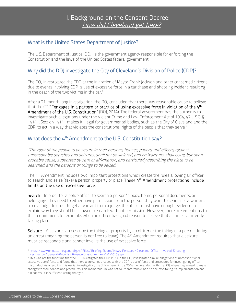#### <span id="page-3-0"></span>What is the United States Department of Justice?

The U.S. Department of Justice (DOJ) is the government agency responsible for enforcing the Constitution and the laws of the United States federal government.

#### Why did the DOJ investigate the City of Cleveland's Division of Police (CDP)?

The DOJ investigated the CDP at the invitation of Mayor Frank Jackson and other concerned citizens due to events involving CDP's use of excessive force in a car chase and shooting incident resulting in the death of the two victims in the car.<sup>[1](#page-3-1)</sup>

After a 21-month long investigation, the DOJ concluded that there was reasonable cause to believe that the CDP "engages in a pattern or practice of using excessive force in violation of the 4<sup>th</sup> Amendment of the U.S. Constitution" (DOJ, 2014). The federal government has the authority to investigate such allegations under the Violent Crime and Law Enforcement Act of 1994, 42 U.S.C. § 14141. Section 14141 makes it illegal for governmental bodies, such as the City of Cleveland and the CDP, to act in a way that violates the constitutional rights of the people that they serve.<sup>[2](#page-3-2)</sup>

#### What does the 4<sup>th</sup> Amendment to the U.S. Constitution say?

"The right of the people to be secure in their persons, houses, papers, and effects, against unreasonable searches and seizures, shall not be violated, and no Warrants shall issue, but upon probable cause, supported by oath or affirmation, and particularly describing the place to be searched, and the persons or things to be seized."

The 4<sup>th</sup> Amendment includes two important protections which create the rules allowing an officer to search and seize (take) a person, property or place. These 4<sup>th</sup> Amendment protections include limits on the use of excessive force.

Search - In order for a police officer to search a person's body, home, personal documents, or belongings they need to either have permission from the person they want to search, or a warrant from a judge. In order to get a warrant from a judge, the officer must have enough evidence to explain why they should be allowed to search without permission. However, there are exceptions to this requirement, for example, when an officer has good reason to believe that a crime is currently taking place.

Seizure - A seizure can describe the taking of property by an officer or the taking of a person during an arrest (meaning the person is not free to leave). The 4<sup>th</sup> Amendment requires that a seizure must be reasonable and cannot involve the use of excessive force.

<span id="page-3-1"></span><sup>1</sup> [http://www.ohioattorneygeneral.gov/Files/Briefing-Room/News-Releases/Cleveland-Officer-Involved-Shooting-](http://www.ohioattorneygeneral.gov/Files/Briefing-Room/News-Releases/Cleveland-Officer-Involved-Shooting-Investigation/General-Reports/Prosecutor-s-Summary-2-4-2013.aspx)[Investigation/General-Reports/Prosecutor-s-Summary-2-4-2013.aspx](http://www.ohioattorneygeneral.gov/Files/Briefing-Room/News-Releases/Cleveland-Officer-Involved-Shooting-Investigation/General-Reports/Prosecutor-s-Summary-2-4-2013.aspx)

<span id="page-3-2"></span><sup>2</sup> This was not the first time that the DOJ investigated the CDP. In 2002, the DOJ investigated similar allegations of unconstitutional excessive use of force and found that there were serious issues with the CDP's use of force and procedures for investigating officer misconduct. As a result of this earlier investigation, the CDP entered into a 2004 memorandum with the DOJ where they agreed to make changes to their policies and procedures. This memorandum was not court enforceable, had no one monitoring its implementation and did not result in sufficient lasting changes.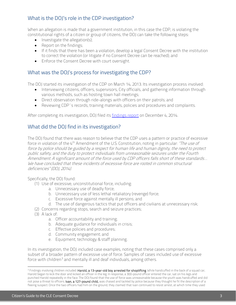#### What is the DOJ's role in the CDP investigation?

When an allegation is made that a government institution, in this case the CDP, is violating the constitutional rights of a citizen or group of citizens, the DOJ can take the following steps:

- Investigate the allegation(s);
- Report on the findings;
- If it finds that there has been a violation, develop a legal Consent Decree with the institution to correct the violation (or litigate if no Consent Decree can be reached); and
- Enforce the Consent Decree with court oversight.

#### What was the DOJ's process for investigating the CDP?

The DOJ started its investigation of the CDP on March 14, 2013. Its investigation process involved:

- Interviewing citizens, officers, supervisors, City officials, and gathering information through various methods, such as hosting town hall meetings;
- Direct observation through ride-alongs with officers on their patrols; and
- Reviewing CDP's records, training materials, policies and procedures and complaints.

After completing its investigation, DOJ filed it[s findings report](https://www.justice.gov/sites/default/files/opa/press-releases/attachments/2014/12/04/cleveland_division_of_police_findings_letter.pdf) on December 4, 2014.

#### What did the DOJ find in its investigation?

The DOJ found that there was reason to believe that the CDP uses a pattern or practice of excessive force in violation of the 4<sup>th</sup> Amendment of the U.S. Constitution, noting in particular: "The use of force by police should be guided by a respect for human life and human dignity, the need to protect public safety, and the duty to protect individuals from unreasonable seizures under the Fourth Amendment. A significant amount of the force used by CDP officers falls short of these standards… We have concluded that these incidents of excessive force are rooted in common structural deficiencies" (DOJ, 2014).

Specifically, the DOJ found:

- (1) Use of excessive, unconstitutional force, including:
	- a. Unnecessary use of deadly force;
	- b. Unnecessary use of less lethal retaliatory (revenge) force;
	- c. Excessive force against mentally ill persons; and
	- d. The use of dangerous tactics that put officers and civilians at unnecessary risk;
- (2) Concerns regarding stops, search and seizure practices;
- (3) A lack of:
	- a. Officer accountability and training;
	- b. Adequate guidance for individuals in crisis;
	- c. Effective policies and procedures;
	- d. Community engagement; and
	- e. Equipment, technology & staff planning.

In its investigation, the DOJ included case examples, noting that these cases comprised only a subset of a broader pattern of excessive use of force. Samples of cases included use of excessive force with children<sup>[3](#page-4-0)</sup> and mentally ill and deaf individuals, among others.

<span id="page-4-0"></span><sup>&</sup>lt;sup>3</sup> Findings involving children included: Harold, a 13-year-old boy arrested for shoplifting. While handcuffed in the back of a squad car, Harold began to kick the door and kicked an officer in the leg. In response, a 300-pound officer entered the car, sat on his legs and punched Harold repeatedly in the face. The DOJ found that the use of force was unreasonable because the youth was handcuffed and did not pose a threat to officers. Ivan, a 127-pound child, was chased and tackled by police because they thought he fit the description of a fleeing suspect. Once the two officers had him on the ground, they claimed that Ivan continued to resist arrest, at which time they used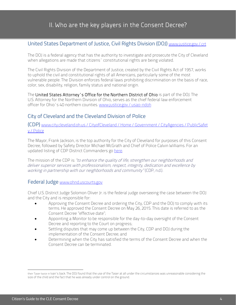#### <span id="page-5-0"></span>United States Department of Justice, Civil Rights Division (DOJ) www.justice.gov / crt

The DOJ is a federal agency that has the authority to investigate and prosecute the City of Cleveland when allegations are made that citizens' constitutional rights are being violated.

The Civil Rights Division of the Department of Justice, created by the Civil Rights Act of 1957, works to uphold the civil and constitutional rights of all Americans, particularly some of the most vulnerable people. The Division enforces federal laws prohibiting discrimination on the basis of race, color, sex, disability, religion, family status and national origin.

The United States Attorney's Office for the Northern District of Ohio is part of the DOJ. The U.S. Attorney for the Northern Division of Ohio, serves as the chief federal law enforcement officer for Ohio's 40 northern counties. www.justice.[gov/usao-ndoh](http://www.justice.gov/usao-ndoh) 

#### City of Cleveland and the Cleveland Division of Police

(CDP) [www.city.cleveland.oh.us/CityofCleveland/Home/Government/CityAgencies/PublicSafet](http://www.city.cleveland.oh.us/CityofCleveland/Home/Government/CityAgencies/PublicSafety/Police) [y/Police](http://www.city.cleveland.oh.us/CityofCleveland/Home/Government/CityAgencies/PublicSafety/Police) 

The Mayor, Frank Jackson, is the top authority for the City of Cleveland for purposes of this Consent Decree, followed by Safety Director Michael McGrath and Chief of Police Calvin Williams. For an updated listing of CDP District Commanders go here.

The mission of the CDP is: "to enhance the quality of life, strengthen our neighborhoods and deliver superior services with professionalism, respect, integrity, dedication and excellence by working in partnership with our neighborhoods and community" (CDP, n.d.).

#### Federal Judge [www.ohnd.uscourts.gov](http://www.ohnd.uscourts.gov/)

Chief U.S. District Judge Solomon Oliver Jr. is the federal judge overseeing the case between the DOJ and the City and is responsible for:

- Approving the Consent Decree and ordering the City, CDP and the DOJ to comply with its terms. He approved the Consent Decree on May 26, 2015. This date is referred to as the Consent Decree "effective date";
- Appointing a Monitor to be responsible for the day-to-day oversight of the Consent Decree and reporting to the Court on progress;
- Settling disputes that may come up between the City, CDP and DOJ during the implementation of the Consent Decree; and
- Determining when the City has satisfied the terms of the Consent Decree and when the Consent Decree can be terminated.

their Taser twice in Ivan's back. The DOJ found that the use of the Taser at all under the circumstances was unreasonable considering the size of the child and the fact that he was already under control on the ground.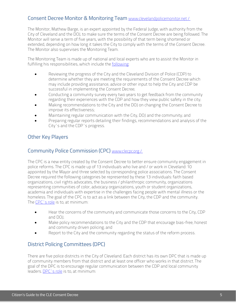#### Consent Decree Monitor & Monitoring Team www.clevelandpolicemonitor.net /

The Monitor, Mathew Barge, is an expert appointed by the Federal Judge, with authority from the City of Cleveland and the DOJ, to make sure the terms of the Consent Decree are being followed. The Monitor will serve a term of five years, with the possibility of that term being shortened or extended, depending on how long it takes the City to comply with the terms of the Consent Decree. The Monitor also supervises the Monitoring Team.

The Monitoring Team is made up of national and local experts who are to assist the Monitor in fulfilling his responsibilities, which include th[e following:](https://www.justice.gov/sites/default/files/crt/legacy/2015/05/27/cleveland_agreement_5-26-15.pdf)

- Reviewing the progress of the City and the Cleveland Division of Police (CDP) to determine whether they are meeting the requirements of the Consent Decree which may include providing assistance, advice or other input to help the City and CDP be successful in implementing the Consent Decree;
- Conducting a community survey every two years to get feedback from the community regarding their experiences with the CDP and how they view public safety in the city;
- Making recommendations to the City and the DOJ on changing the Consent Decree to improve its effectiveness;
- Maintaining regular communication with the City, DOJ and the community; and
- Preparing regular reports detailing their findings, recommendations and analysis of the City's and the CDP's progress.

#### Other Key Players

#### Community Police Commission (CPC) [www.clecpc.org/](http://www.clecpc.org/)

The CPC is a new entity created by the Consent Decree to better ensure community engagement in police reforms. The CPC is made up of 13 individuals who live and / or work in Cleveland: 10 appointed by the Mayor and three selected by corresponding police associations. The Consent Decree required the following categories be represented by these 13 individuals: faith based organizations, civil rights advocates, the business/philanthropic community, organizations representing communities of color, advocacy organizations, youth or student organizations, academia and individuals with expertise in the challenges facing people with mental illness or the homeless. The goal of the CPC is to act as a link between the City, the CDP and the community. The [CPC's role](https://www.justice.gov/sites/default/files/crt/legacy/2015/05/27/cleveland_agreement_5-26-15.pdf#page=9) is to, at minimum:

- Hear the concerns of the community and communicate those concerns to the City, CDP and DOJ;
- Make policy recommendations to the City and the CDP that encourage bias-free, honest and community driven policing; and
- Report to the City and the community regarding the status of the reform process.

#### District Policing Committees (DPC)

There are five police districts in the City of Cleveland. Each district has its own DPC that is made up of community members from that district and at least one officer who works in that district. The goal of the DPC is to encourage regular communication between the CDP and local community leaders[. DPC's role](https://www.justice.gov/sites/default/files/crt/legacy/2015/05/27/cleveland_agreement_5-26-15.pdf#page=12) is to, at minimum: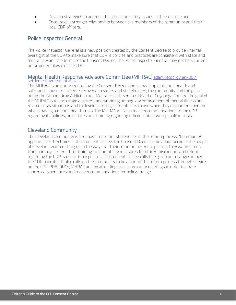- Develop strategies to address the crime and safety issues in their district; and
- Encourage a stronger relationship between the members of the community and their local CDP officers.

#### Police Inspector General

The Police Inspector General is a new position created by the Consent Decree to provide internal oversight of the CDP to make sure that CDP's policies and practices are consistent with state and federal law and the terms of the Consent Decree. The Police Inspector General may not be a current or former employee of the CDP.

#### Mental Health Response Advisory Committee (MHRAC) [adamhscc.org/en-US/](http://adamhscc.org/en-US/settlementagreement.aspx) settlementagreement.aspx

The MHRAC is an entity created by the Consent Decree and is made up of mental health and substance abuse treatment / recovery providers and stakeholders, the community and the police, under the Alcohol Drug Addiction and Mental Health Services Board of Cuyahoga County. The goal of the MHRAC is to encourage a better understanding among law enforcement of mental illness and related crisis situations and to develop strategies for officers to use when they encounter a person who is having a mental health crisis. The MHRAC will also make recommendations to the CDP regarding its policies, procedures and training regarding officer contact with people in crisis.

#### Cleveland Community

The Cleveland community is the most important stakeholder in the reform process. "Community" appears over 125 times in this Consent Decree. The Consent Decree came about because the people of Cleveland wanted changes in the way that their communities were policed. They wanted more transparency, better officer training, accountability measures for officer misconduct and reform regarding the CDP's use of force policies. The Consent Decree calls for significant changes in how the CDP operates. It also calls on the community to be a part of the reform process through service on the CPC, PRB, DPCs, MHRAC and by attending local community meetings in order to share concerns, experiences and make recommendations for policy change.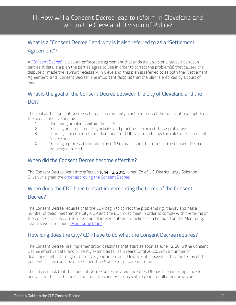## <span id="page-8-0"></span>III. How will a Consent Decree lead to reform in Cleveland and within the Cleveland Division of Police?

## What is a "Consent Decree," and why is it also referred to as a "Settlement Agreement"?

A ["Consent Decree"](https://www.justice.gov/sites/default/files/crt/legacy/2015/05/27/cleveland_agreement_5-26-15.pdf) is a court-enforceable agreement that ends a dispute or a lawsuit between parties. It details a plan the parties agree to use in order to correct the problem(s) that caused the dispute or made the lawsuit necessary. In Cleveland, this plan is referred to as both the "Settlement Agreement" and "Consent Decree." The important factor is that the plan is enforced by a court of law.

## What is the goal of the Consent Decree between the City of Cleveland and the DO<sub>I</sub>?

The goal of the Consent Decree is to repair community trust and protect the constitutional rights of the people of Cleveland by:

- 1. Identifying problems within the CDP;
- 2. Creating and implementing policies and practices to correct those problems;
- 3. Defining consequences for officer and/or CDP failure to follow the rules of the Consent Decree; and
- 4. Creating a process to monitor the CDP to make sure the terms of the Consent Decree are being enforced.

#### When did the Consent Decree become effective?

The Consent Decree went into effect on June 12, 2015, when Chief U.S. District Judge Solomon Oliver, Jr. signed the order approving the Consent Decree.

## When does the CDP have to start implementing the terms of the Consent

#### Decree?

The Consent Decree requires that the CDP begin to correct the problems right away and has a number of deadlines that the City, CDP and the DOJ must meet in order to comply with the terms of the Consent Decree. Up-to-date annual implementation timelines can be found on the Monitoring Team's website under ["Monitoring Plan."](http://static1.squarespace.com/static/5651f9b5e4b08f0af890bd13/t/56fc3dad20c6474a562d6c92/1459371438249/CLE+Police+Monitoring+Plan--First-Year+Monitoring+Plan--Updated--03-30-16.compressed.pdf)

#### How long does the City/ CDP have to do what the Consent Decree requires?

The Consent Decree has implementation deadlines that start as soon as June 12, 2015 (the Consent Decree effective date) and currently extend as far as 5 years (until 2020), with a number of deadlines built in throughout the five-year timeframe. However, it is possible that the terms of the Consent Decree could be met sooner than 5 years or require more time.

The City can ask that the Consent Decree be terminated once the CDP has been in compliance for one year with search and seizure practices and two consecutive years for all other provisions.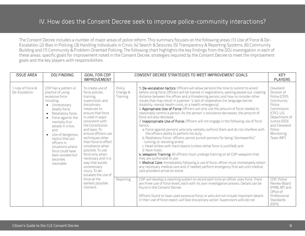## IV. How does the Consent Decree seek to improve police-community interactions?

<span id="page-9-0"></span>The Consent Decree includes a number of major areas of police reform. This summary focuses on the following areas: (1) Use of Force & De-Escalation, (2) Bias in Policing, (3) Handling Individuals in Crisis, (4) Search & Seizures, (5) Transparency & Reporting Systems, (6) Community Building and (7) Community & Problem-Oriented Policing. The following chart highlights the key findings from the DOJ investigation in each of these areas, specific goals for improvement noted in the Consent Decree, strategies required by the Consent Decree to meet the improvement goals and the key players with responsibilities.

| <b>ISSUE AREA</b>                  | DOJ FINDING                                                                                                                                                                                                                                                                                                                                                                   | GOAL FOR CDP<br><b>IMPROVEMENT</b>                                                                                                                                                                                                                                                                                                                                                                                               | CONSENT DECREE STRATEGIES TO MEET IMPROVEMENT GOALS |                                                                                                                                                                                                                                                                                                                                                                                                                                                                                                                                                                                                                                                                                                                                                                                                                                                                                                                                                                                                                                                                                                                                                                                                                                                                                                                                                                                                                                | <b>KEY</b><br><b>PLAYERS</b>                                                                                                                                                          |
|------------------------------------|-------------------------------------------------------------------------------------------------------------------------------------------------------------------------------------------------------------------------------------------------------------------------------------------------------------------------------------------------------------------------------|----------------------------------------------------------------------------------------------------------------------------------------------------------------------------------------------------------------------------------------------------------------------------------------------------------------------------------------------------------------------------------------------------------------------------------|-----------------------------------------------------|--------------------------------------------------------------------------------------------------------------------------------------------------------------------------------------------------------------------------------------------------------------------------------------------------------------------------------------------------------------------------------------------------------------------------------------------------------------------------------------------------------------------------------------------------------------------------------------------------------------------------------------------------------------------------------------------------------------------------------------------------------------------------------------------------------------------------------------------------------------------------------------------------------------------------------------------------------------------------------------------------------------------------------------------------------------------------------------------------------------------------------------------------------------------------------------------------------------------------------------------------------------------------------------------------------------------------------------------------------------------------------------------------------------------------------|---------------------------------------------------------------------------------------------------------------------------------------------------------------------------------------|
| 1. Use of Force &<br>De-Escalation | CDP has a pattern or<br>practice of using<br>excessive force<br>including:<br>• Unnecessary<br>deadly force;<br>Retaliatory force;<br>Force against the<br>$\bullet$<br>mentally ill or<br>people in crisis;<br>and<br>Use of dangerous<br>$\bullet$<br>tactics that put<br>officers in<br>situations where<br>force could have<br>been avoided but<br>becomes<br>inevitable. | To create use of<br>force policies,<br>training.<br>supervision, and<br>disciplinary<br>measures to<br>ensure that force<br>is used in ways<br>consistent with<br>the Constitution<br>and laws. To<br>ensure officers use<br>techniques other<br>than force to effect<br>compliance when<br>possible. To use<br>force only when<br>necessary and in a<br>way that avoids<br>unnecessary<br>injury. To de-<br>escalate the use of | Policy<br>Change &<br>Training                      | 1. De-escalation tactics: Officers will allow persons the time to submit to arrest<br>before using force. Officers will be trained in negotiations, waiting people out, creating<br>distance between the officer and a threatening person, and how to consider other<br>issues that may result in a person 's lack of cooperation (i.e. language barrier,<br>disability, mental health crisis, or a health emergency).<br>2. Appropriate Use of Force: Officers will only use the amount of force needed to<br>reasonably control a person. As the person's resistance decreases, the amount of<br>force will also decrease.<br>3. Inappropriate Use of Force: Officers will not engage in the following use of force<br>tactics:<br>a. Force against persons who only verbally confront them and do not interfere with<br>the officers ability to perform his duty;<br>b. Retaliatory Force- officers cannot punish persons for being "disrespectful,"<br>running, or resisting arrest;<br>c. Head strikes with hard objects (unless lethal force is justified); and<br>d. Neck holds.<br>4. Weapons Training: All officers must undergo training on all CDP weapons that<br>they are authorized to use.<br>5. Medical Care: Immediately following a use of force, officer must immediately obtain<br>any necessary medical care and, if needed, perform emergency first aid until medical<br>care providers arrive on scene. | Cleveland<br>Division of<br>Police (CDP),<br>Community<br>Police<br>Commission<br>(CPC), U.S.<br>Department of<br>Justice (DOJ)<br>and Cleveland<br>Police<br>Monitoring<br>Team (MT) |
|                                    |                                                                                                                                                                                                                                                                                                                                                                               | force at the<br>earliest possible<br>moment.                                                                                                                                                                                                                                                                                                                                                                                     | Reporting                                           | CDP will develop a reporting system to record each time an officer uses force. There<br>are three use of force levels, each with its own investigative process. Details can be<br>found in the Consent Decree.<br>Officers found to have used excessive force, or who did not include important details<br>in their use of force report, will face disciplinary action. Supervisors who do not                                                                                                                                                                                                                                                                                                                                                                                                                                                                                                                                                                                                                                                                                                                                                                                                                                                                                                                                                                                                                                 | CDP, Police<br>Review Board<br>(PRB), MT and<br>Office of<br>Professional<br>Standards<br>(OPS)                                                                                       |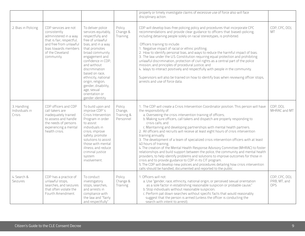|                                         |                                                                                                                                                                                |                                                                                                                                                                                                                                                                                                                                                               |                                              | properly or timely investigate claims of excessive use of force also will face<br>disciplinary action.                                                                                                                                                                                                                                                                                                                                                                                                                                                                                                                                                                                                                                                                                                                                                                                                                                                                                                                                                                                           |                                              |
|-----------------------------------------|--------------------------------------------------------------------------------------------------------------------------------------------------------------------------------|---------------------------------------------------------------------------------------------------------------------------------------------------------------------------------------------------------------------------------------------------------------------------------------------------------------------------------------------------------------|----------------------------------------------|--------------------------------------------------------------------------------------------------------------------------------------------------------------------------------------------------------------------------------------------------------------------------------------------------------------------------------------------------------------------------------------------------------------------------------------------------------------------------------------------------------------------------------------------------------------------------------------------------------------------------------------------------------------------------------------------------------------------------------------------------------------------------------------------------------------------------------------------------------------------------------------------------------------------------------------------------------------------------------------------------------------------------------------------------------------------------------------------------|----------------------------------------------|
| 2. Bias in Policing                     | CDP services are not<br>consistently<br>administered in a way<br>that is fair, respectful,<br>and free from unlawful<br>bias towards members<br>of the Cleveland<br>community. | To deliver police<br>services equitably,<br>respectfully and<br>free of unlawful<br>bias, and in a way<br>that promotes<br>broad community<br>engagement and<br>confidence in CDP,<br>and without<br>discrimination<br>based on race.<br>ethnicity, national<br>origin, religion,<br>gender, disability,<br>age, sexual<br>orientation or<br>gender identity. | Policy<br>Change &<br>Training               | CDP will develop bias-free policing policy and procedures that incorporate CPC<br>recommendations and provide clear guidance to officers that biased-policing,<br>including detaining people solely on racial stereotypes, is prohibited.<br>Officers training to include:<br>1. Negative impact of racial or ethnic profiling;<br>2. How to identify personal bias, and ways to reduce the harmful impact of bias;<br>3. The law under the U.S. Constitution requiring equal protection and prohibiting<br>unlawful discrimination, protection of civil rights as a central part of the police<br>mission, and principles of procedural justice; and<br>4. Ways to interact positively and respectfully with people in the community.<br>Supervisors will also be trained on how to identify bias when reviewing officer stops,<br>arrests and use of force data.                                                                                                                                                                                                                               | CDP, CPC, DOJ,<br>MT                         |
| 3. Handling<br>Individuals in<br>Crisis | CDP officers and CDP<br>call takers are<br>inadequately trained<br>to assess and handle<br>the needs of persons<br>experiencing a mental<br>health crisis.                     | To build upon and<br>improve CDP's<br>Crisis Intervention<br>Program in order<br>to assist<br>individuals in<br>crisis; improve<br>safety; promote<br>solutions to assist<br>those with mental<br>illness; and reduce<br>criminal justice<br>system<br>involvement.                                                                                           | Policy<br>Change,<br>Training &<br>Personnel | 1. The CDP will create a Crisis Intervention Coordinator position. This person will have<br>the responsibility of:<br>a. Overseeing the crisis intervention training of officers;<br>b. Making sure officers, call takers and dispatch are properly responding to<br>crisis calls; and<br>c. Maintaining and developing partnerships with mental health partners.<br>2. All officers and recruits will receive at least eight hours of crisis intervention<br>training annually.<br>3. The development of a team of specialized crisis intervention officers with at least<br>40 hours of training.<br>4. The creation of the Mental Health Response Advisory Committee (MHRAC) to foster<br>relationships and build support between the police, the community and mental health<br>providers, to help identify problems and solutions to improve outcomes for those in<br>crisis and to provide guidance to CDP in its CIT program.<br>5. The CDP will develop new policies and procedures detailing how crisis intervention<br>calls should be handled, documented and reported to the public. | CDP, DOJ,<br>MHRAC and MT                    |
| 4. Search &<br>Seizures                 | CDP has a practice of<br>unlawful stops,<br>searches, and seizures<br>that often violate the<br>Fourth Amendment.                                                              | To conduct<br>investigatory<br>stops, searches,<br>and arrests in<br>compliance with<br>the law and "fairly<br>and respectfully"                                                                                                                                                                                                                              | Policy<br>Change &<br>Training               | 1. Officers will not:<br>a. Use "gender, race, ethnicity, national origin, or perceived sexual orientation<br>as a sole factor in establishing reasonable suspicion or probable cause;"<br>b. Stop individuals without reasonable suspicion;<br>c. Perform pat down searches without specific facts that would reasonably<br>suggest that the person is armed (unless the officer is conducting the<br>search with intent to arrest);                                                                                                                                                                                                                                                                                                                                                                                                                                                                                                                                                                                                                                                            | CDP, CPC, DOJ,<br>PRB, MT, and<br><b>OPS</b> |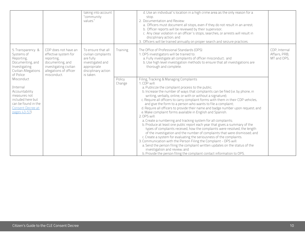|                                                                                                                                                                                                                                                                        |                                                                                                                                                   | taking into account<br>"community<br>values."                                                                                 |                              | d. Use an individual's location in a high crime area as the only reason for a<br>stop.<br>2. Documentation and Review:<br>a. Officers must document all stops, even if they do not result in an arrest;<br>b. Officer reports will be reviewed by their supervisor;<br>c. Any clear violation in an officer's stops, searches, or arrests will result in<br>disciplinary action; and<br>3. Officers will be trained annually on proper search and seizure practices.                                                                                                                                                                                                                                                                                                                                                                                                                                                                                                                                                                                                                                                                                                                                                                                                                                                                                                                                                                                                                                          |                                               |
|------------------------------------------------------------------------------------------------------------------------------------------------------------------------------------------------------------------------------------------------------------------------|---------------------------------------------------------------------------------------------------------------------------------------------------|-------------------------------------------------------------------------------------------------------------------------------|------------------------------|---------------------------------------------------------------------------------------------------------------------------------------------------------------------------------------------------------------------------------------------------------------------------------------------------------------------------------------------------------------------------------------------------------------------------------------------------------------------------------------------------------------------------------------------------------------------------------------------------------------------------------------------------------------------------------------------------------------------------------------------------------------------------------------------------------------------------------------------------------------------------------------------------------------------------------------------------------------------------------------------------------------------------------------------------------------------------------------------------------------------------------------------------------------------------------------------------------------------------------------------------------------------------------------------------------------------------------------------------------------------------------------------------------------------------------------------------------------------------------------------------------------|-----------------------------------------------|
| 5. Transparency &<br>Systems of<br>Reporting,<br>Documenting, and<br>Investigating<br>Civilian Allegations<br>of Police<br>Misconduct<br>(Internal<br>Accountability<br>measures not<br>included here but<br>can be found in the<br>Consent Decree at:<br>pages 43-57) | CDP does not have an<br>effective system for<br>reporting,<br>documenting, and<br>investigating civilian<br>allegations of officer<br>misconduct. | To ensure that all<br>civilian complaints<br>are fully<br>investigated and<br>appropriate<br>disciplinary action<br>is taken. | Training<br>Policy<br>Change | The Office of Professional Standards (OPS)<br>1. OPS investigators will be trained to:<br>a. Fully investigate all complaints of officer misconduct; and<br>b. Use high level investigation methods to ensure that all investigations are<br>thorough and complete.<br>Filing, Tracking & Managing Complaints<br>1. CDP will:<br>a. Publicize the complaint process to the public;<br>b. Increase the number of ways that complaints can be filed (i.e. by phone, in<br>writing, verbally, online, or with or without a signature);<br>c. Require all officers to carry complaint forms with them in their CDP vehicles,<br>and give the form to a person who wants to file a complaint;<br>d. Require all officers to provide their name and badge number upon request; and<br>e. Make complaint forms available in English and Spanish.<br>2. OPS will:<br>a. Create a numbering and tracking system for all complaints;<br>b. Produce at least one public report each year that gives a summary of the<br>types of complaints received, how the complaints were resolved, the length<br>of the investigation and the number of complaints that were dismissed; and<br>c. Create a system for evaluating the seriousness of the complaints.<br>3. Communication with the Person Filing the Complaint - OPS will:<br>a. Send the person filing the complaint written updates on the status of the<br>investigation and review; and<br>b. Provide the person filing the complaint contact information to OPS. | CDP, Internal<br>Affairs, PRB,<br>MT and OPS, |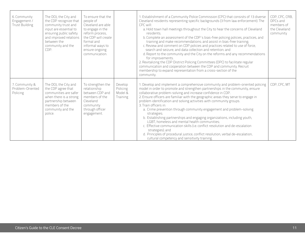| 6. Community<br>Engagement /<br><b>Trust Building</b> | The DOJ, the City and<br>the CDP recognize that<br>community trust and<br>input are essential to<br>ensuring public safety<br>and improved relations<br>between the<br>community and the<br>CDP. | To ensure that the<br>people of<br>Cleveland are able<br>to engage in the<br>reform process,<br>the CDP will create<br>formal and<br>informal ways to<br>ensure ongoing<br>communication. |                                            | 1. Establishment of a Community Police Commission (CPC) that consists of 13 diverse<br>Cleveland residents representing specific backgrounds (3 from law enforcement). The<br>CPC will:<br>a. Hold town hall meetings throughout the City to hear the concerns of Cleveland<br>residents:<br>b. Complete an assessment of the CDP's bias-free policing policies, practices, and<br>training and make recommendations; and assist in bias-free training;<br>c. Review and comment on CDP policies and practices related to use of force,<br>search and seizure, and data collection and retention; and<br>d. Report to the community and the City on the reforms and any recommendations<br>for improvements.<br>2. Revitalizing the CDP District Policing Committees (DPC) to facilitate regular<br>communication and cooperation between the CDP and community. Recruit<br>membership to expand representation from a cross-section of the<br>community. | CDP, CPC, CRB,<br>DPCs and<br>members of<br>the Cleveland<br>community |
|-------------------------------------------------------|--------------------------------------------------------------------------------------------------------------------------------------------------------------------------------------------------|-------------------------------------------------------------------------------------------------------------------------------------------------------------------------------------------|--------------------------------------------|-----------------------------------------------------------------------------------------------------------------------------------------------------------------------------------------------------------------------------------------------------------------------------------------------------------------------------------------------------------------------------------------------------------------------------------------------------------------------------------------------------------------------------------------------------------------------------------------------------------------------------------------------------------------------------------------------------------------------------------------------------------------------------------------------------------------------------------------------------------------------------------------------------------------------------------------------------------|------------------------------------------------------------------------|
| 7. Community &<br>Problem-Oriented<br>Policing        | The DOJ, the City and<br>the CDP agree that<br>communities are safer<br>when there is a strong<br>partnership between<br>members of the<br>community and the<br>police.                          | To strengthen the<br>relationship<br>between CDP and<br>members of the<br>Cleveland<br>community<br>through officer<br>engagement.                                                        | Develop<br>Policing<br>Model &<br>Training | 1. Develop and implement a comprehensive community and problem-oriented policing<br>model in order to promote and strengthen partnerships in the community, ensure<br>collaborative problem-solving and increase confidence in CDP.<br>2. Ensure officers are familiar with the geographic areas they serve to engage in<br>problem identification and solving activities with community groups.<br>3. Train officers in:<br>a. Crime prevention through community engagement and problem-solving<br>strategies;<br>b. Establishing partnerships and engaging organizations, including youth,<br>LGBT, homeless and mental health communities;<br>c. Effective communication skills (i.e. conflict resolution and de-escalation<br>strategies); and<br>d. Principles of procedural justice, conflict resolution, verbal de-escalation,<br>cultural competency and sensitivity training.                                                                   | CDP, CPC, MT                                                           |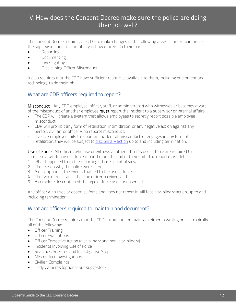## <span id="page-13-0"></span>V. How does the Consent Decree make sure the police are doing their job well?

The Consent Decree requires the CDP to make changes in the following areas in order to improve the supervision and accountability in how officers do their job:

- Reporting
- Documenting
- Investigating
- Disciplining Officer Misconduct

It also requires that the CDP have sufficient resources available to them, including equipment and technology, to do their job.

#### What are CDP officers required to report?

Misconduct - Any CDP employee (officer, staff, or administrator) who witnesses or becomes aware of the misconduct of another employee **must** report the incident to a supervisor or internal affairs.

- The CDP will create a system that allows employees to secretly report possible employee misconduct.
- CDP will prohibit any form of retaliation, intimidation, or any negative action against any person, civilian, or officer who reports misconduct.
- If a CDP employee fails to report an incident of misconduct, or engages in any form of retaliation, they will be subject to *disciplinary action* up to and including termination.

Use of Force- All officers who use or witness another officer's use of force are required to complete a written use of force report before the end of their shift. The report must detail:

- 1. What happened from the reporting officer's point of view;
- 2. The reason why the police were there;
- 3. A description of the events that led to the use of force;
- 4. The type of resistance that the officer received; and
- 5. A complete description of the type of force used or observed.

Any officer who uses or observes force and does not report it will face disciplinary action, up to and including termination.

#### What are officers required to maintain and document?

The Consent Decree requires that the CDP document and maintain either in writing or electronically all of the following:

- Officer Training
- Officer Evaluations
- Officer Corrective Action (disciplinary and non-disciplinary)
- Incidents Involving Use of Force
- Searches, Seizures and Investigative Stops
- Misconduct Investigations
- Civilian Complaints
- Body Cameras (optional but suggested)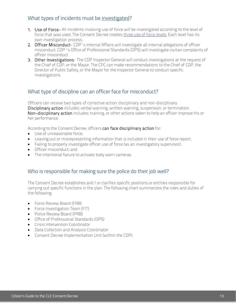#### What types of incidents must be investigated?

- 1. Use of Force- All incidents involving use of force will be investigated according to the level of force that was used. The Consent Decree creates [three use of force levels.](https://www.justice.gov/sites/default/files/crt/legacy/2015/05/27/cleveland_agreement_5-26-15.pdf#page=27) Each level has its own investigation process.
- 2. Officer Misconduct- CDP's Internal Affairs will investigate all internal allegations of officer misconduct. CDP's Office of Professional Standards (OPS) will investigate civilian complaints of officer misconduct.
- 3. Other Investigations- The CDP Inspector General will conduct investigations at the request of the Chief of CDP, or the Mayor. The CPC can make recommendations to the Chief of CDP, the Director of Public Safety, or the Mayor for the Inspector General to conduct specific investigations.

#### What type of [discipline](https://drive.google.com/file/d/0B5DdHkGRNM-2M1I3WVdMb1pVYzg/view) can an officer face for misconduct?

Officers can receive two types of corrective action: disciplinary and non-disciplinary. Disciplinary action includes: verbal warning, written warning, suspension, or termination. Non-disciplinary action includes: training, or other actions taken to help an officer improve his or her performance.

According to the Consent Decree, officers can face disciplinary action for:

- Use of unreasonable force;
- Leaving out or misrepresenting information that is included in their use of force report;
- Failing to properly investigate officer use of force (as an investigatory supervisor);
- Officer misconduct; and
- The intentional failure to activate body worn cameras.

#### Who is responsible for making sure the police do their job well?

The Consent Decree establishes and / or clarifies specific positions or entities responsible for carrying out specific functions in the plan. The following chart summarizes the roles and duties of the following:

- Force Review Board (FRB)
- Force Investigation Team (FIT)
- Police Review Board (PRB)
- Office of Professional Standards (OPS)
- Crisis Intervention Coordinator
- Data Collection and Analysis Coordinator
- Consent Decree Implementation Unit (within the CDP)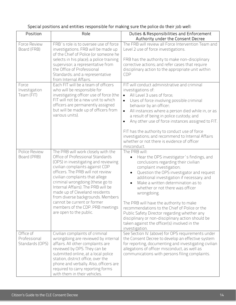| Position                                     | Role                                                                                                                                                                                                                                                                                                                                                                                                                                                                     | Duties & Responsibilities and Enforcement<br>Authority under the Consent Decree                                                                                                                                                                                                                                                                                                                                                                                                                                                                                                       |
|----------------------------------------------|--------------------------------------------------------------------------------------------------------------------------------------------------------------------------------------------------------------------------------------------------------------------------------------------------------------------------------------------------------------------------------------------------------------------------------------------------------------------------|---------------------------------------------------------------------------------------------------------------------------------------------------------------------------------------------------------------------------------------------------------------------------------------------------------------------------------------------------------------------------------------------------------------------------------------------------------------------------------------------------------------------------------------------------------------------------------------|
| Force Review<br>Board (FRB)                  | FRB's role is to oversee use of force<br>investigations. FRB will be made up<br>of the Chief of Police (or someone he<br>selects in his place); a police training<br>supervisor; a representative from<br>the Office of Professional<br>Standards; and a representative<br>from Internal Affairs.                                                                                                                                                                        | The FRB will review all Force Intervention Team and<br>Level 2 use of force investigations.<br>FRB has the authority to make non-disciplinary<br>corrective actions; and refer cases that require<br>disciplinary action to the appropriate unit within<br><b>CDP</b>                                                                                                                                                                                                                                                                                                                 |
| Force<br>Investigation<br>Team (FIT)         | Each FIT will be a team of officers<br>who will be responsible for<br>investigating officer use of force (the<br>FIT will not be a new unit to which<br>officers are permanently assigned<br>but will be made up of officers from<br>various units).                                                                                                                                                                                                                     | FIT will conduct administrative and criminal<br>investigations of:<br>All Level 3 uses of force;<br>$\bullet$<br>Uses of force involving possible criminal<br>$\bullet$<br>behavior by an officer;<br>All instances where a person died while in, or as<br>$\bullet$<br>a result of being in police custody; and<br>Any other use of force instances assigned to FIT.<br>$\bullet$<br>FIT has the authority to conduct use of force<br>investigations; and recommend to Internal Affairs<br>whether or not there is evidence of officer<br>misconduct.                                |
| Police Review<br>Board (PRB)                 | The PRB will work closely with the<br>Office of Professional Standards<br>(OPS) in investigating and reviewing<br>civilian complaints against CDP<br>officers. The PRB will not review<br>civilian complaints that allege<br>criminal wrongdoing (these go to<br>Internal Affairs). The PRB will be<br>made up of Cleveland residents<br>from diverse backgrounds. Members<br>cannot be current or former<br>members of the CDP. PRB meetings<br>are open to the public. | The PRB will:<br>Hear the OPS investigator's findings, and<br>conclusions regarding their civilian<br>complaint investigation;<br>Question the OPS investigator and request<br>additional investigation if necessary; and<br>Make a written determination as to<br>whether or not there was officer<br>wrongdoing.<br>The PRB will have the authority to make<br>recommendations to the Chief of Police or the<br>Public Safety Director regarding whether any<br>disciplinary or non-disciplinary action should be<br>taken against the officer(s) involved in the<br>investigation. |
| Office of<br>Professional<br>Standards (OPS) | Civilian complaints of criminal<br>wrongdoing are reviewed by internal<br>affairs. All other complaints are<br>reviewed by OPS. They can be<br>submitted online, at a local police<br>station, district office, over the<br>phone and verbally. Also, officers are<br>required to carry reporting forms<br>with them in their vehicles.                                                                                                                                  | See Section IV. (above) for OPS requirements under<br>the Consent Decree to develop an effective system<br>for reporting, documenting and investigating civilian<br>allegations of officer misconduct, as well as<br>communications with persons filing complaints.                                                                                                                                                                                                                                                                                                                   |

## Special positions and entities responsible for making sure the police do their job well: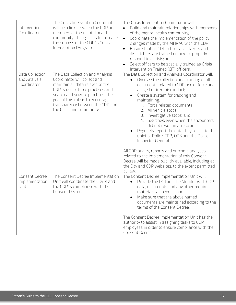| Crisis<br>Intervention<br>Coordinator          | The Crisis Intervention Coordinator<br>will be a link between the CDP and<br>members of the mental health<br>community. Their goal is to increase<br>the success of the CDP's Crisis<br>Intervention Program.                                                                       | The Crisis Intervention Coordinator will:<br>Build and maintain relationships with members<br>of the mental health community;<br>Coordinate the implementation of the policy<br>$\bullet$<br>changes made by the MHRAC with the CDP;<br>Ensure that all CDP officers, call takers and<br>dispatchers are trained on how to properly<br>respond to a crisis; and<br>Select officers to be specially trained as Crisis<br>Intervention Trained (CIT) officers.                                                                                                                                                                                                                                                                                   |
|------------------------------------------------|-------------------------------------------------------------------------------------------------------------------------------------------------------------------------------------------------------------------------------------------------------------------------------------|------------------------------------------------------------------------------------------------------------------------------------------------------------------------------------------------------------------------------------------------------------------------------------------------------------------------------------------------------------------------------------------------------------------------------------------------------------------------------------------------------------------------------------------------------------------------------------------------------------------------------------------------------------------------------------------------------------------------------------------------|
| Data Collection<br>and Analysis<br>Coordinator | The Data Collection and Analysis<br>Coordinator will collect and<br>maintain all data related to the<br>CDP's use of force practices, and<br>search and seizure practices. The<br>goal of this role is to encourage<br>transparency between the CDP and<br>the Cleveland community. | The Data Collection and Analysis Coordinator will:<br>Oversee the collection and tracking of all<br>documents related to CDP use of force and<br>alleged officer misconduct;<br>Create a system for tracking and<br>maintaining:<br>1. Force related documents,<br>2. All vehicle stops,<br>3. Investigative stops, and<br>4. Searches, even when the encounters<br>did not result in arrest; and<br>Regularly report the data they collect to the<br>Chief of Police, FRB, OPS and the Police<br>Inspector General.<br>All CDP audits, reports and outcome analyses<br>related to the implementation of this Consent<br>Decree will be made publicly available, including at<br>the City and CDP websites, to the extent permitted<br>by law. |
| Consent Decree<br>Implementation<br>Unit       | The Consent Decree Implementation<br>Unit will coordinate the City's and<br>the CDP's compliance with the<br>Consent Decree.                                                                                                                                                        | The Consent Decree Implementation Unit will:<br>Provide the DOJ and the Monitor with CDP<br>data, documents and any other required<br>materials, as needed; and<br>Make sure that the above named<br>documents are maintained according to the<br>terms of the Consent Decree.<br>The Consent Decree Implementation Unit has the<br>authority to assist in assigning tasks to CDP<br>employees in order to ensure compliance with the<br>Consent Decree.                                                                                                                                                                                                                                                                                       |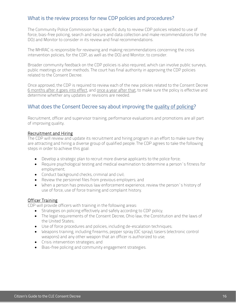#### What is the review process for new CDP policies and procedures?

The Community Police Commission has a specific duty to review CDP policies related to use of force, bias-free policing, search and seizure and data collection and make recommendations for the DOJ and Monitor to consider in its review and final recommendations.

The MHRAC is responsible for reviewing and making recommendations concerning the crisis intervention policies, for the CDP, as well as the DOJ and Monitor, to consider.

Broader community feedback on the CDP policies is also required, which can involve public surveys, public meetings or other methods. The court has final authority in approving the CDP policies related to the Consent Decree.

Once approved, the CDP is required to review each of the new policies related to the Consent Decree 6 months after it goes into effect, and once a year after that, to make sure the policy is effective and determine whether any updates or revisions are needed.

#### What does the Consent Decree say about improving the quality of policing?

Recruitment, officer and supervisor training, performance evaluations and promotions are all part of improving quality.

#### Recruitment and Hiring

The CDP will review and update its recruitment and hiring program in an effort to make sure they are attracting and hiring a diverse group of qualified people. The CDP agrees to take the following steps in order to achieve this goal:

- Develop a strategic plan to recruit more diverse applicants to the police force;
- Require psychological testing and medical examination to determine a person's fitness for employment;
- Conduct background checks, criminal and civil;
- Review the personnel files from previous employers; and
- When a person has previous law enforcement experience, review the person's history of use of force, use of force training and complaint history.

#### **Officer Training**

CDP will provide officers with training in the following areas:

- Strategies on policing effectively and safely according to CDP policy;
- The legal requirements of the Consent Decree, Ohio law, the Constitution and the laws of the United States;
- Use of force procedures and policies, including de-escalation techniques;
- Weapons training, including firearms, pepper spray (OC spray), tasers (electronic control weapons) and any other weapon that an officer is authorized to use;
- Crisis intervention strategies; and
- Bias-free policing and community engagement strategies.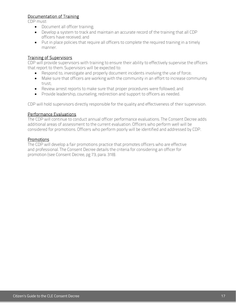#### Documentation of Training

CDP must:

- Document all officer training;
- Develop a system to track and maintain an accurate record of the training that all CDP officers have received; and
- Put in place policies that require all officers to complete the required training in a timely manner.

#### Training of Supervisors

CDP will provide supervisors with training to ensure their ability to effectively supervise the officers that report to them. Supervisors will be expected to:

- Respond to, investigate and properly document incidents involving the use of force;
- Make sure that officers are working with the community in an effort to increase community trust;
- Review arrest reports to make sure that proper procedures were followed; and
- Provide leadership, counseling, redirection and support to officers as needed.

CDP will hold supervisors directly responsible for the quality and effectiveness of their supervision.

#### Performance Evaluations

The CDP will continue to conduct annual officer performance evaluations. The Consent Decree adds additional areas of assessment to the current evaluation. Officers who perform well will be considered for promotions. Officers who perform poorly will be identified and addressed by CDP.

#### Promotions

The CDP will develop a fair promotions practice that promotes officers who are effective and professional. The Consent Decree details the criteria for considering an officer for promotion (see Consent Decree, pg 73, para. 318).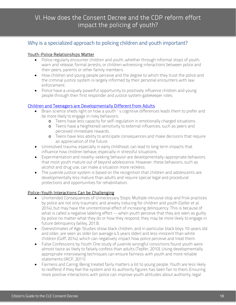## <span id="page-19-0"></span>VI. How does the Consent Decree and the CDP reform effort impact the policing of youth?

#### [Why is a specialized approach to policing children and youth important?](http://artscimedia.case.edu/wp-content/uploads/sites/35/2016/09/14193736/Final-Police-and-Youth-Letter-3.19.15.pdf)

#### Youth-Police Relationships Matter

- Police regularly encounter children and youth, whether through informal stops of youth, warn and release, formal arrests, or children witnessing interactions between police and their peers, parents or other family members.
- How children and young people perceive and the degree to which they trust the police and the criminal justice system is largely informed by their personal encounters with law enforcement.
- Police have a uniquely powerful opportunity to positively influence children and young people through their first responder and justice system gatekeeper roles.

#### [Children and Teenagers are Developmentally Different from Adults](https://www.nap.edu/read/14685/chapter/2)

- Brain science sheds light on how a youth's cognitive differences leads them to prefer and be more likely to engage in risky behaviors:
	- o Teens have less capacity for self-regulation in emotionally charged situations.
	- o Teens have a heightened sensitivity to external influences, such as peers and perceived immediate rewards.
	- o Teens have less ability to anticipate consequences and make decisions that require an appreciation of the future.
- Unresolved trauma, especially in early childhood, can lead to long term impacts that influence how children behave, especially in stressful situations.
- Experimentation and novelty-seeking behavior are developmentally-appropriate behaviors that most youth mature out of beyond adolescence. However, these behaviors, such as alcohol and drug use, can make a situation more reckless.
- The juvenile justice system is based on the recognition that children and adolescents are developmentally less mature than adults and require special legal and procedural protections and opportunities for rehabilitation.

#### Police-Youth Interactions Can be Challenging

- Unintended Consequences of Unnecessary Stops: Multiple intrusive stop and frisk practices by police are not only traumatic and anxiety inducing for children and youth (Geller et al. 2014), but may have the unintentional effect of increasing delinquency. This is because of what is called a negative labeling effect -- when youth perceive that they are seen as guilty by police no matter what they do or how they respond, they may be more likely to engage in future delinquency (Wiley, 2013).
- Overestimates of Age: Studies show black children, and in particular black boys 10-years old and older, are seen as older (on average 4.5 years older) and less innocent than white children (Goff, 2014), which can negatively impact how police perceive and treat them.
- False Confessions by Youth: One study of juvenile wrongful convictions found youth were almost twice as likely to falsely confess than adults (Tepfer, 2010). Using developmentally appropriate interviewing techniques can ensure fairness with youth and more reliable statements (IACP, 2011).
- Fairness and Caring: Being treated fairly matters a lot to young people. Youth are less likely to reoffend if they feel the system and its authority figures has been fair to them. Ensuring more positive interactions with police can improve youth attitudes about authority, legal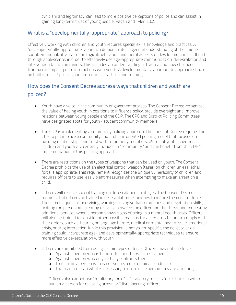cynicism and legitimacy, can lead to more positive perceptions of police and can assist in gaining long-term trust of young people (Fagan and Tyler, 2005).

#### What is a "developmentally-appropriate" approach to policing?

Effectively working with children and youth requires special skills, knowledge and practices. A "developmentally-appropriate" approach demonstrates a general understanding of the unique social, emotional, physical, neurological, behavioral and moral aspects of development in childhood through adolescence, in order to effectively use age-appropriate communication, de-escalation and intervention tactics on minors. This includes an understanding of trauma and how childhood trauma can impact police interactions with youth. A developmentally-appropriate approach should be built into CDP policies and procedures, practices and training.

## How does the Consent Decree address ways that children and youth are policed?

- Youth have a voice in the community engagement process. The Consent Decree recognizes the value of having youth in positions to influence policy, provide oversight and improve relations between young people and the CDP. The CPC and District Policing Committees have designated spots for youth / student community members.
- The CDP is implementing a community policing approach. The Consent Decree requires the CDP to put in place a community and problem-oriented policing model that focuses on building relationships and trust with community members. While not youth-specific, children and youth are certainly included in "community," and can benefit from the CDP's implementation of this policing approach.
- There are restrictions on the types of weapons that can be used on youth. The Consent Decree prohibits the use of an electrical control weapon (taser) on children unless lethal force is appropriate. This requirement recognizes the unique vulnerability of children and requires officers to use less violent measures when attempting to make an arrest on a child.
- Officers will receive special training on de-escalation strategies. The Consent Decree requires that officers be trained in de-escalation techniques to reduce the need for force. These techniques include: giving warnings, using verbal commands and negotiation skills, waiting the person out, creating distance between the officer and the threat and requesting additional services when a person shows signs of being in a mental health crisis. Officers will also be trained to consider other possible reasons for a person's failure to comply with their orders, such as: hearing or language barrier, medical or mental health issue, emotional crisis, or drug interaction. While this provision is not youth-specific, the de-escalation training could incorporate age- and developmentally-appropriate techniques to ensure more effective de-escalation with youth.
- Officers are prohibited from using certain types of force. Officers may not use force:
	- o Against a person who is handcuffed or otherwise restrained;
	- o Against a person who only verbally confronts them;
	- o To restrain a person who is not suspected of criminal conduct; or
	- o That is more than what is necessary to control the person they are arresting.

Officers also cannot use "retaliatory force" – Retaliatory force is force that is used to punish a person for resisting arrest, or "disrespecting" officers.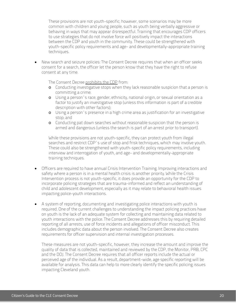These provisions are not youth-specific; however, some scenarios may be more common with children and young people, such as youth being verbally aggressive or behaving in ways that may appear disrespectful. Training that encourages CDP officers to use strategies that do not involve force will positively impact the interactions between the CDP and youth in the community. These could be strengthened with youth-specific policy requirements and age- and developmentally-appropriate training techniques.

• New search and seizure policies: The Consent Decree requires that when an officer seeks consent for a search, the officer let the person know that they have the right to refuse consent at any time.

The Consent Decree prohibits the CDP from:

- o Conducting investigative stops when they lack reasonable suspicion that a person is committing a crime;
- o Using a person's race, gender, ethnicity, national origin, or sexual orientation as a factor to justify an investigative stop (unless this information is part of a credible description with other factors);
- o Using a person's presence in a high crime area as justification for an investigative stop; and
- o Conducting pat down searches without reasonable suspicion that the person is armed and dangerous (unless the search is part of an arrest prior to transport).

While these provisions are not youth-specific, they can protect youth from illegal searches and restrict CDP's use of stop and frisk techniques, which may involve youth. These could also be strengthened with youth-specific policy requirements, including interview and interrogation of youth, and age- and developmentally-appropriate training techniques.

- Officers are required to have annual Crisis Intervention Training. Improving interactions and safety where a person is in a mental health crisis is another priority. While the Crisis Intervention process is not youth-specific, it does provide an opportunity for the CDP to incorporate policing strategies that are trauma-informed and reflect an understanding of child and adolescent development, especially as it may relate to behavioral health issues impacting police-youth interactions.
- A system of reporting, documenting and investigating police interactions with youth is required. One of the current challenges to understanding the impact policing practices have on youth is the lack of an adequate system for collecting and maintaining data related to youth interactions with the police. The Consent Decree addresses this by requiring detailed reporting of all arrests, use of force incidents and allegations of officer misconduct. This includes demographic data about the person involved. The Consent Decree also creates requirements for officer supervision and internal investigation processes.

These measures are not youth-specific, however, they increase the amount and improve the quality of data that is collected, maintained and reviewed by the CDP, the Monitor, PRB, CPC and the DOJ. The Consent Decree requires that all officer reports include the actual or perceived age of the individual. As a result, department-wide, age specific reporting will be available for analysis. This data can help to more clearly identify the specific policing issues impacting Cleveland youth.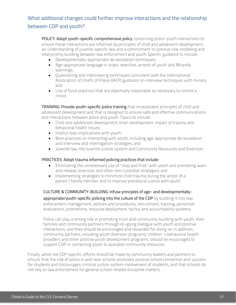## What additional changes could further improve interactions and the relationship between CDP and youth?

POLICY: Adopt youth-specific comprehensive policy concerning police-youth interactions to ensure these interactions are informed by principles of child and adolescent development, an understanding of juvenile specific law and a commitment to positive role-modeling and relationship building between law enforcement and youth. Specific guidance to include:

- Developmentally-appropriate de-escalation techniques;
- Age-appropriate language in stops, searches, arrests of youth and Miranda warnings;
- Questioning and interviewing techniques consistent with the International Association of Chiefs of Police (IACP) guidance on interview techniques with minors; and
- Use of force practices that are objectively reasonable as necessary to control a minor.

TRAINING: Provide youth-specific police training that incorporates principles of child and adolescent development and that is designed to ensure safe and effective communications and interactions between police and youth. Topics to include:

- Child and adolescent development, brain development, impact of trauma and behavioral health issues;
- Implicit bias implications with youth;
- Best practices on interacting with youth, including age-appropriate de-escalation and interview and interrogation strategies; and
- Juvenile law, the Juvenile Justice system and Community Resources and Diversion.

#### PRACTICES: Adopt trauma informed policing practices that include:

- Eliminating the unnecessary use of "stop and frisk" with youth and promoting warn and release, diversion and other non-custodial strategies; and
- Implementing strategies to minimize child trauma during the arrest of a parent / family member and to improve procedural justice with youth.

#### CULTURE & COMMUNITY-BUILDING: Infuse principles of age- and developmentally-

appropriate/youth-specific policing into the culture of the CDP by building it into law enforcement management, policies and procedures, recruitment, training, personnel evaluations, promotions, resource deployment, tactics and accountability systems.

Police can play a strong role in promoting trust and community-building with youth, their families and community partners through on-going dialogue with youth and positive interactions, and they should be encouraged and rewarded for doing so. In addition, community partners, including youth diversion programs, children's behavioral health providers and other positive youth development programs, should be encouraged to support CDP in connecting youth to available community resources.

Finally, while not CDP specific, efforts should be made by community leaders and partners to ensure that the role of police in and near schools promotes positive school connection and success for students and discourages criminal justice system involvement of students, and that schools do not rely on law enforcement for general school-related discipline matters.